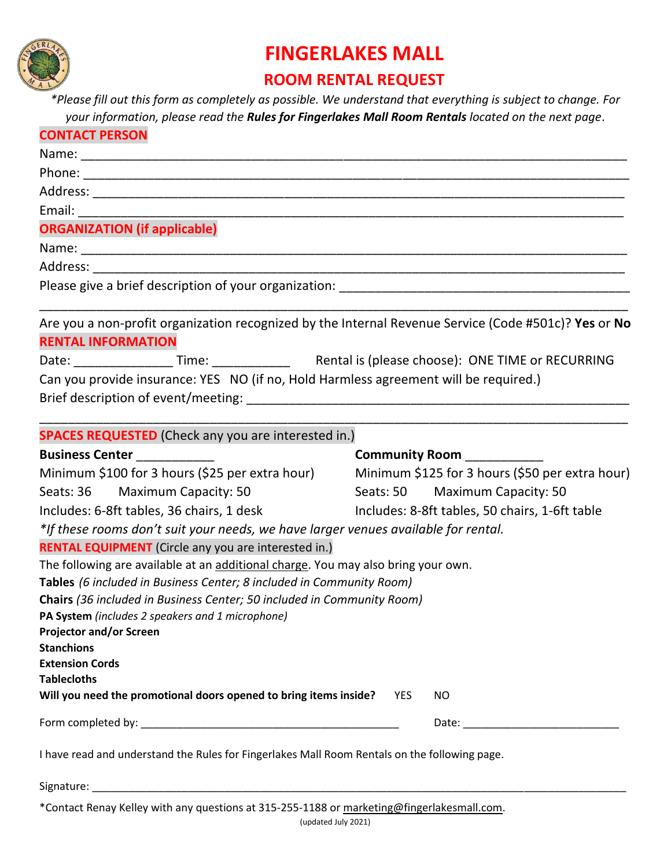

## **FINGERLAKES MALL**

## **ROOM RENTAL REQUEST**

*\*Please fill out this form as completely as possible. We understand that everything is subject to change. For your information, please read the Rules for Fingerlakes Mall Room Rentals located on the next page*.

| <b>CONTACT PERSON</b><br><b>ORGANIZATION (if applicable)</b>                                  |                                                 |                                                                                                      |  |
|-----------------------------------------------------------------------------------------------|-------------------------------------------------|------------------------------------------------------------------------------------------------------|--|
|                                                                                               |                                                 |                                                                                                      |  |
|                                                                                               |                                                 |                                                                                                      |  |
|                                                                                               |                                                 | Are you a non-profit organization recognized by the Internal Revenue Service (Code #501c)? Yes or No |  |
|                                                                                               |                                                 | <b>RENTAL INFORMATION</b>                                                                            |  |
|                                                                                               |                                                 |                                                                                                      |  |
|                                                                                               |                                                 | Can you provide insurance: YES NO (if no, Hold Harmless agreement will be required.)                 |  |
|                                                                                               |                                                 |                                                                                                      |  |
| <b>SPACES REQUESTED</b> (Check any you are interested in.)                                    |                                                 |                                                                                                      |  |
| <b>Business Center</b>                                                                        | Community Room __________                       |                                                                                                      |  |
| Minimum \$100 for 3 hours (\$25 per extra hour)                                               | Minimum \$125 for 3 hours (\$50 per extra hour) |                                                                                                      |  |
| Seats: 36 Maximum Capacity: 50                                                                | Seats: 50 Maximum Capacity: 50                  |                                                                                                      |  |
| Includes: 6-8ft tables, 36 chairs, 1 desk                                                     | Includes: 8-8ft tables, 50 chairs, 1-6ft table  |                                                                                                      |  |
| *If these rooms don't suit your needs, we have larger venues available for rental.            |                                                 |                                                                                                      |  |
| <b>RENTAL EQUIPMENT</b> (Circle any you are interested in.)                                   |                                                 |                                                                                                      |  |
| The following are available at an additional charge. You may also bring your own.             |                                                 |                                                                                                      |  |
| Tables (6 included in Business Center; 8 included in Community Room)                          |                                                 |                                                                                                      |  |
| Chairs (36 included in Business Center; 50 included in Community Room)                        |                                                 |                                                                                                      |  |
| <b>PA System</b> (includes 2 speakers and 1 microphone)                                       |                                                 |                                                                                                      |  |
| <b>Projector and/or Screen</b><br><b>Stanchions</b>                                           |                                                 |                                                                                                      |  |
| <b>Extension Cords</b>                                                                        |                                                 |                                                                                                      |  |
| <b>Tablecloths</b>                                                                            |                                                 |                                                                                                      |  |
| Will you need the promotional doors opened to bring items inside?                             | <b>YES</b><br><b>NO</b>                         |                                                                                                      |  |
|                                                                                               |                                                 |                                                                                                      |  |
| I have read and understand the Rules for Fingerlakes Mall Room Rentals on the following page. |                                                 |                                                                                                      |  |
|                                                                                               |                                                 |                                                                                                      |  |

\*Contact Renay Kelley with any questions at 315-255-1188 or [marketing@fingerlakesmall.com.](mailto:marketing@fingerlakesmall.com)